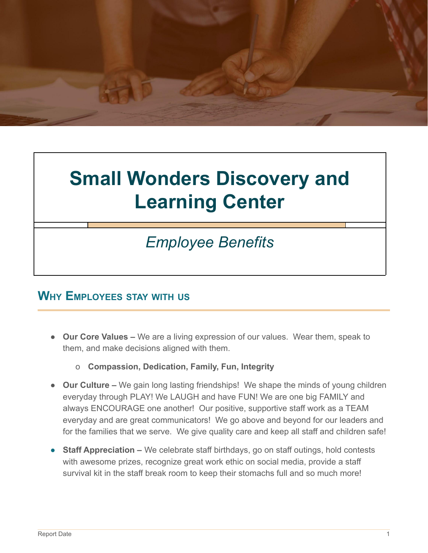

# **Small Wonders Discovery and Learning Center**

## *Employee Benefits*

### **WHY EMPLOYEES STAY WITH US**

- **Our Core Values –** We are a living expression of our values. Wear them, speak to them, and make decisions aligned with them.
	- o **Compassion, Dedication, Family, Fun, Integrity**
- **Our Culture –** We gain long lasting friendships! We shape the minds of young children everyday through PLAY! We LAUGH and have FUN! We are one big FAMILY and always ENCOURAGE one another! Our positive, supportive staff work as a TEAM everyday and are great communicators! We go above and beyond for our leaders and for the families that we serve. We give quality care and keep all staff and children safe!
- **Staff Appreciation –** We celebrate staff birthdays, go on staff outings, hold contests with awesome prizes, recognize great work ethic on social media, provide a staff survival kit in the staff break room to keep their stomachs full and so much more!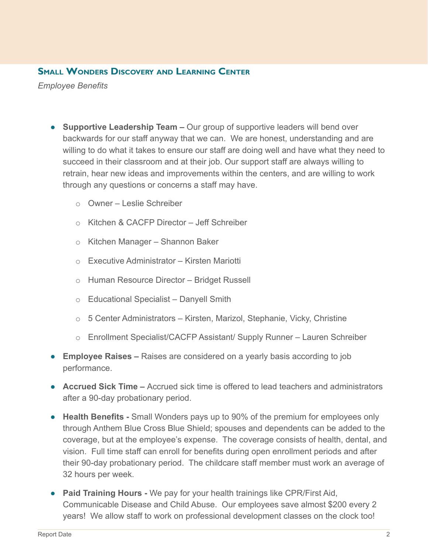#### **SMALL WONDERS DISCOVERY AND LEARNING CENTER**

*Employee Benefits*

- **Supportive Leadership Team –** Our group of supportive leaders will bend over backwards for our staff anyway that we can. We are honest, understanding and are willing to do what it takes to ensure our staff are doing well and have what they need to succeed in their classroom and at their job. Our support staff are always willing to retrain, hear new ideas and improvements within the centers, and are willing to work through any questions or concerns a staff may have.
	- o Owner Leslie Schreiber
	- o Kitchen & CACFP Director Jeff Schreiber
	- o Kitchen Manager Shannon Baker
	- o Executive Administrator Kirsten Mariotti
	- o Human Resource Director Bridget Russell
	- o Educational Specialist Danyell Smith
	- o 5 Center Administrators Kirsten, Marizol, Stephanie, Vicky, Christine
	- o Enrollment Specialist/CACFP Assistant/ Supply Runner Lauren Schreiber
- **Employee Raises –** Raises are considered on a yearly basis according to job performance.
- **Accrued Sick Time –** Accrued sick time is offered to lead teachers and administrators after a 90-day probationary period.
- **● Health Benefits -** Small Wonders pays up to 90% of the premium for employees only through Anthem Blue Cross Blue Shield; spouses and dependents can be added to the coverage, but at the employee's expense. The coverage consists of health, dental, and vision. Full time staff can enroll for benefits during open enrollment periods and after their 90-day probationary period. The childcare staff member must work an average of 32 hours per week.
- **Paid Training Hours -** We pay for your health trainings like CPR/First Aid, Communicable Disease and Child Abuse. Our employees save almost \$200 every 2 years! We allow staff to work on professional development classes on the clock too!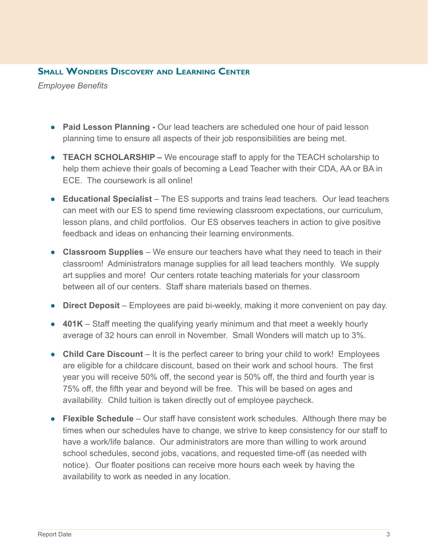#### **SMALL WONDERS DISCOVERY AND LEARNING CENTER**

*Employee Benefits*

- **Paid Lesson Planning -** Our lead teachers are scheduled one hour of paid lesson planning time to ensure all aspects of their job responsibilities are being met.
- **TEACH SCHOLARSHIP –** We encourage staff to apply for the TEACH scholarship to help them achieve their goals of becoming a Lead Teacher with their CDA, AA or BA in ECE. The coursework is all online!
- **Educational Specialist** The ES supports and trains lead teachers. Our lead teachers can meet with our ES to spend time reviewing classroom expectations, our curriculum, lesson plans, and child portfolios. Our ES observes teachers in action to give positive feedback and ideas on enhancing their learning environments.
- **Classroom Supplies** We ensure our teachers have what they need to teach in their classroom! Administrators manage supplies for all lead teachers monthly. We supply art supplies and more! Our centers rotate teaching materials for your classroom between all of our centers. Staff share materials based on themes.
- **Direct Deposit** Employees are paid bi-weekly, making it more convenient on pay day.
- **401K** Staff meeting the qualifying yearly minimum and that meet a weekly hourly average of 32 hours can enroll in November. Small Wonders will match up to 3%.
- **Child Care Discount** It is the perfect career to bring your child to work! Employees are eligible for a childcare discount, based on their work and school hours. The first year you will receive 50% off, the second year is 50% off, the third and fourth year is 75% off, the fifth year and beyond will be free. This will be based on ages and availability. Child tuition is taken directly out of employee paycheck.
- **Flexible Schedule** Our staff have consistent work schedules. Although there may be times when our schedules have to change, we strive to keep consistency for our staff to have a work/life balance. Our administrators are more than willing to work around school schedules, second jobs, vacations, and requested time-off (as needed with notice). Our floater positions can receive more hours each week by having the availability to work as needed in any location.